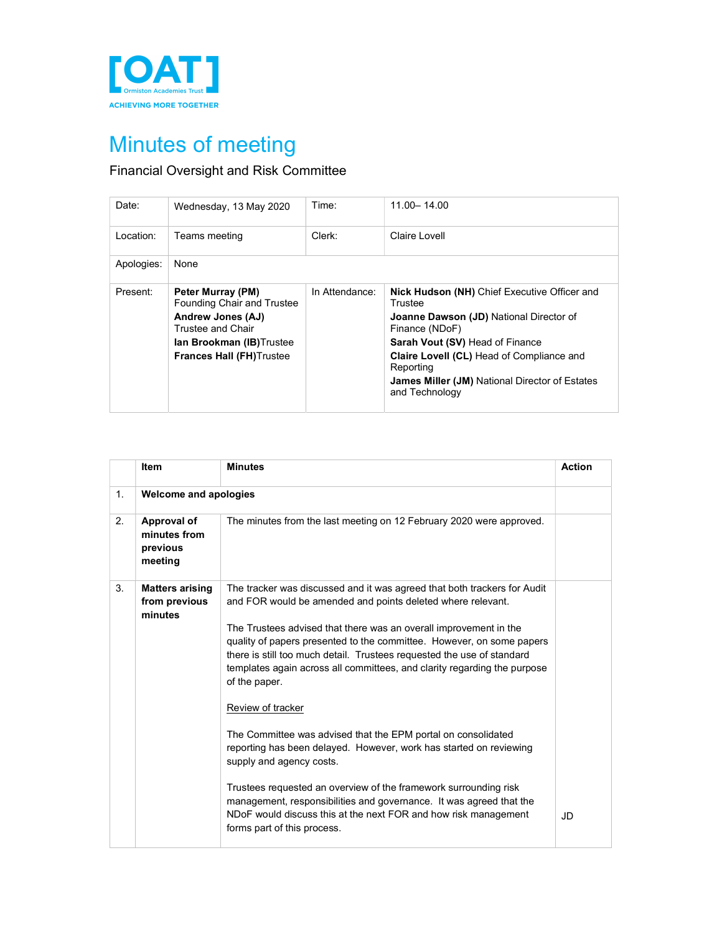

## Minutes of meeting

## Financial Oversight and Risk Committee

| Date:      | Wednesday, 13 May 2020                                                                                                                                                          | Time:          | $11.00 - 14.00$                                                                                                                                                                                                                                                                                            |
|------------|---------------------------------------------------------------------------------------------------------------------------------------------------------------------------------|----------------|------------------------------------------------------------------------------------------------------------------------------------------------------------------------------------------------------------------------------------------------------------------------------------------------------------|
| Location:  | Teams meeting                                                                                                                                                                   | $Clerk$ :      | Claire Lovell                                                                                                                                                                                                                                                                                              |
| Apologies: | None                                                                                                                                                                            |                |                                                                                                                                                                                                                                                                                                            |
| Present:   | Peter Murray (PM)<br><b>Founding Chair and Trustee</b><br><b>Andrew Jones (AJ)</b><br>Trustee and Chair<br><b>lan Brookman (IB)</b> Trustee<br><b>Frances Hall (FH)</b> Trustee | In Attendance: | <b>Nick Hudson (NH)</b> Chief Executive Officer and<br>Trustee<br><b>Joanne Dawson (JD)</b> National Director of<br>Finance (NDoF)<br>Sarah Vout (SV) Head of Finance<br>Claire Lovell (CL) Head of Compliance and<br>Reporting<br><b>James Miller (JM) National Director of Estates</b><br>and Technology |

|    | <b>Item</b>                                        | <b>Minutes</b>                                                                                                                                                                                                                                                                                                                                                                                                                                                                                                                                                                                                                                                                                                                                                                                                                                                                                    | <b>Action</b> |
|----|----------------------------------------------------|---------------------------------------------------------------------------------------------------------------------------------------------------------------------------------------------------------------------------------------------------------------------------------------------------------------------------------------------------------------------------------------------------------------------------------------------------------------------------------------------------------------------------------------------------------------------------------------------------------------------------------------------------------------------------------------------------------------------------------------------------------------------------------------------------------------------------------------------------------------------------------------------------|---------------|
| 1. | <b>Welcome and apologies</b>                       |                                                                                                                                                                                                                                                                                                                                                                                                                                                                                                                                                                                                                                                                                                                                                                                                                                                                                                   |               |
| 2. | Approval of<br>minutes from<br>previous<br>meeting | The minutes from the last meeting on 12 February 2020 were approved.                                                                                                                                                                                                                                                                                                                                                                                                                                                                                                                                                                                                                                                                                                                                                                                                                              |               |
| 3. | <b>Matters arising</b><br>from previous<br>minutes | The tracker was discussed and it was agreed that both trackers for Audit<br>and FOR would be amended and points deleted where relevant.<br>The Trustees advised that there was an overall improvement in the<br>quality of papers presented to the committee. However, on some papers<br>there is still too much detail. Trustees requested the use of standard<br>templates again across all committees, and clarity regarding the purpose<br>of the paper.<br>Review of tracker<br>The Committee was advised that the EPM portal on consolidated<br>reporting has been delayed. However, work has started on reviewing<br>supply and agency costs.<br>Trustees requested an overview of the framework surrounding risk<br>management, responsibilities and governance. It was agreed that the<br>NDoF would discuss this at the next FOR and how risk management<br>forms part of this process. | JD            |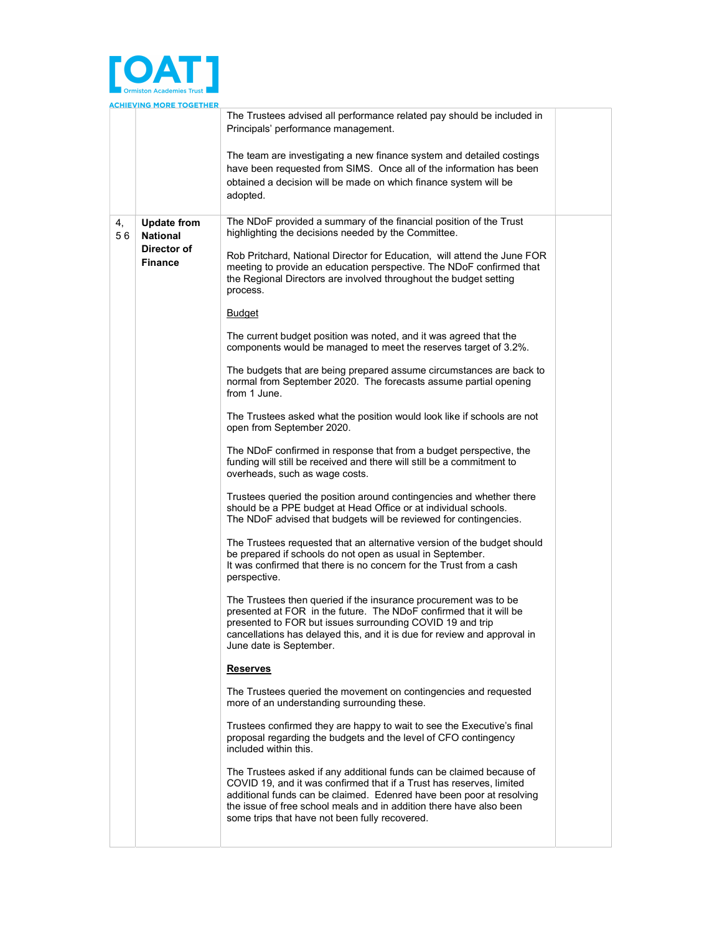

|    |    | <u>ACHIEVING MORE TOGETHER</u>        |                                                                                                                                                                                                                                                                                                                                               |  |
|----|----|---------------------------------------|-----------------------------------------------------------------------------------------------------------------------------------------------------------------------------------------------------------------------------------------------------------------------------------------------------------------------------------------------|--|
|    |    |                                       | The Trustees advised all performance related pay should be included in<br>Principals' performance management.                                                                                                                                                                                                                                 |  |
|    |    |                                       | The team are investigating a new finance system and detailed costings<br>have been requested from SIMS. Once all of the information has been<br>obtained a decision will be made on which finance system will be<br>adopted.                                                                                                                  |  |
| 4, | 56 | <b>Update from</b><br><b>National</b> | The NDoF provided a summary of the financial position of the Trust<br>highlighting the decisions needed by the Committee.                                                                                                                                                                                                                     |  |
|    |    | Director of<br><b>Finance</b>         | Rob Pritchard, National Director for Education, will attend the June FOR<br>meeting to provide an education perspective. The NDoF confirmed that<br>the Regional Directors are involved throughout the budget setting<br>process.                                                                                                             |  |
|    |    |                                       | <b>Budget</b>                                                                                                                                                                                                                                                                                                                                 |  |
|    |    |                                       | The current budget position was noted, and it was agreed that the<br>components would be managed to meet the reserves target of 3.2%.                                                                                                                                                                                                         |  |
|    |    |                                       | The budgets that are being prepared assume circumstances are back to<br>normal from September 2020. The forecasts assume partial opening<br>from 1 June.                                                                                                                                                                                      |  |
|    |    |                                       | The Trustees asked what the position would look like if schools are not<br>open from September 2020.                                                                                                                                                                                                                                          |  |
|    |    |                                       | The NDoF confirmed in response that from a budget perspective, the<br>funding will still be received and there will still be a commitment to<br>overheads, such as wage costs.                                                                                                                                                                |  |
|    |    |                                       | Trustees queried the position around contingencies and whether there<br>should be a PPE budget at Head Office or at individual schools.<br>The NDoF advised that budgets will be reviewed for contingencies.                                                                                                                                  |  |
|    |    |                                       | The Trustees requested that an alternative version of the budget should<br>be prepared if schools do not open as usual in September.<br>It was confirmed that there is no concern for the Trust from a cash<br>perspective.                                                                                                                   |  |
|    |    |                                       | The Trustees then queried if the insurance procurement was to be<br>presented at FOR in the future. The NDoF confirmed that it will be<br>presented to FOR but issues surrounding COVID 19 and trip<br>cancellations has delayed this, and it is due for review and approval in<br>June date is September.                                    |  |
|    |    |                                       | Reserves                                                                                                                                                                                                                                                                                                                                      |  |
|    |    |                                       | The Trustees queried the movement on contingencies and requested<br>more of an understanding surrounding these.                                                                                                                                                                                                                               |  |
|    |    |                                       | Trustees confirmed they are happy to wait to see the Executive's final<br>proposal regarding the budgets and the level of CFO contingency<br>included within this.                                                                                                                                                                            |  |
|    |    |                                       | The Trustees asked if any additional funds can be claimed because of<br>COVID 19, and it was confirmed that if a Trust has reserves, limited<br>additional funds can be claimed. Edenred have been poor at resolving<br>the issue of free school meals and in addition there have also been<br>some trips that have not been fully recovered. |  |
|    |    |                                       |                                                                                                                                                                                                                                                                                                                                               |  |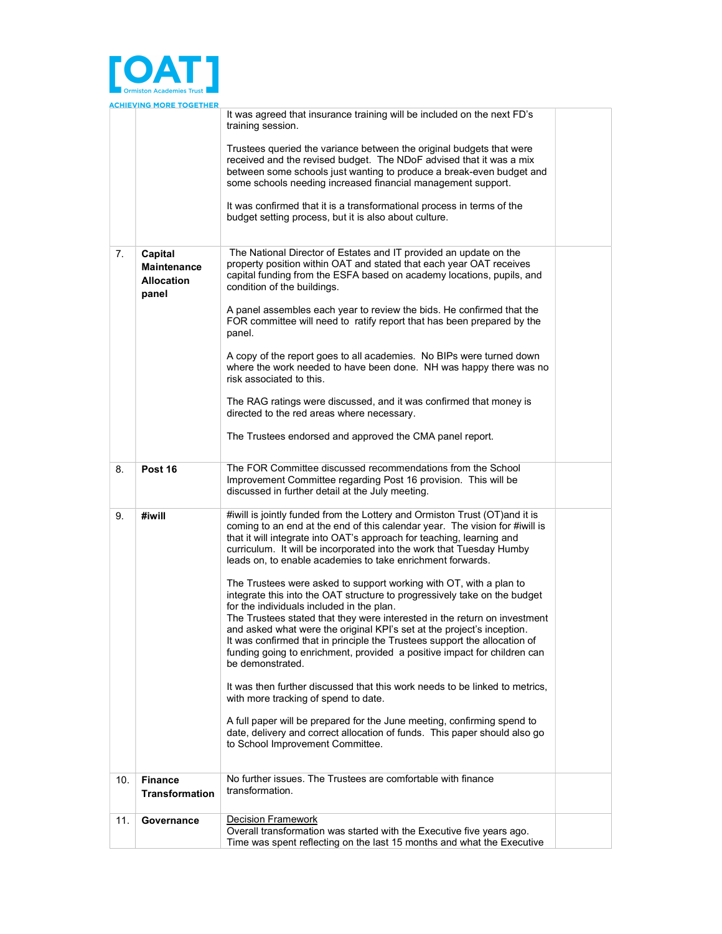

|     | <u>ACHIEVING MORE TOGETHER</u>                              |                                                                                                                                                                                                                                                                                                                                                                                                                                                                                                              |  |
|-----|-------------------------------------------------------------|--------------------------------------------------------------------------------------------------------------------------------------------------------------------------------------------------------------------------------------------------------------------------------------------------------------------------------------------------------------------------------------------------------------------------------------------------------------------------------------------------------------|--|
|     |                                                             | It was agreed that insurance training will be included on the next FD's<br>training session.                                                                                                                                                                                                                                                                                                                                                                                                                 |  |
|     |                                                             | Trustees queried the variance between the original budgets that were<br>received and the revised budget. The NDoF advised that it was a mix<br>between some schools just wanting to produce a break-even budget and<br>some schools needing increased financial management support.                                                                                                                                                                                                                          |  |
|     |                                                             | It was confirmed that it is a transformational process in terms of the<br>budget setting process, but it is also about culture.                                                                                                                                                                                                                                                                                                                                                                              |  |
| 7.  | Capital<br><b>Maintenance</b><br><b>Allocation</b><br>panel | The National Director of Estates and IT provided an update on the<br>property position within OAT and stated that each year OAT receives<br>capital funding from the ESFA based on academy locations, pupils, and<br>condition of the buildings.                                                                                                                                                                                                                                                             |  |
|     |                                                             | A panel assembles each year to review the bids. He confirmed that the<br>FOR committee will need to ratify report that has been prepared by the<br>panel.                                                                                                                                                                                                                                                                                                                                                    |  |
|     |                                                             | A copy of the report goes to all academies. No BIPs were turned down<br>where the work needed to have been done. NH was happy there was no<br>risk associated to this.                                                                                                                                                                                                                                                                                                                                       |  |
|     |                                                             | The RAG ratings were discussed, and it was confirmed that money is<br>directed to the red areas where necessary.                                                                                                                                                                                                                                                                                                                                                                                             |  |
|     |                                                             | The Trustees endorsed and approved the CMA panel report.                                                                                                                                                                                                                                                                                                                                                                                                                                                     |  |
| 8.  | Post 16                                                     | The FOR Committee discussed recommendations from the School<br>Improvement Committee regarding Post 16 provision. This will be<br>discussed in further detail at the July meeting.                                                                                                                                                                                                                                                                                                                           |  |
| 9.  | #iwill                                                      | #iwill is jointly funded from the Lottery and Ormiston Trust (OT) and it is<br>coming to an end at the end of this calendar year. The vision for #iwill is<br>that it will integrate into OAT's approach for teaching, learning and<br>curriculum. It will be incorporated into the work that Tuesday Humby<br>leads on, to enable academies to take enrichment forwards.                                                                                                                                    |  |
|     |                                                             | The Trustees were asked to support working with OT, with a plan to<br>integrate this into the OAT structure to progressively take on the budget<br>for the individuals included in the plan.<br>The Trustees stated that they were interested in the return on investment<br>and asked what were the original KPI's set at the project's inception.<br>It was confirmed that in principle the Trustees support the allocation of<br>funding going to enrichment, provided a positive impact for children can |  |
|     |                                                             | be demonstrated.<br>It was then further discussed that this work needs to be linked to metrics,                                                                                                                                                                                                                                                                                                                                                                                                              |  |
|     |                                                             | with more tracking of spend to date.<br>A full paper will be prepared for the June meeting, confirming spend to<br>date, delivery and correct allocation of funds. This paper should also go<br>to School Improvement Committee.                                                                                                                                                                                                                                                                             |  |
| 10. | <b>Finance</b><br><b>Transformation</b>                     | No further issues. The Trustees are comfortable with finance<br>transformation.                                                                                                                                                                                                                                                                                                                                                                                                                              |  |
| 11. | Governance                                                  | <b>Decision Framework</b><br>Overall transformation was started with the Executive five years ago.<br>Time was spent reflecting on the last 15 months and what the Executive                                                                                                                                                                                                                                                                                                                                 |  |
|     |                                                             |                                                                                                                                                                                                                                                                                                                                                                                                                                                                                                              |  |